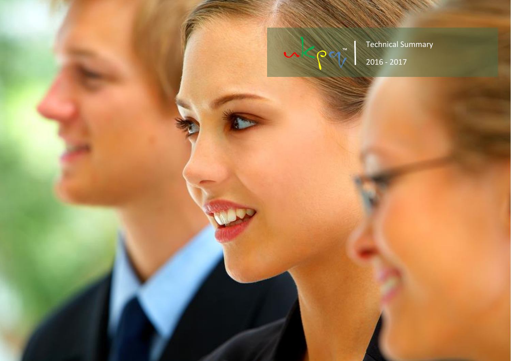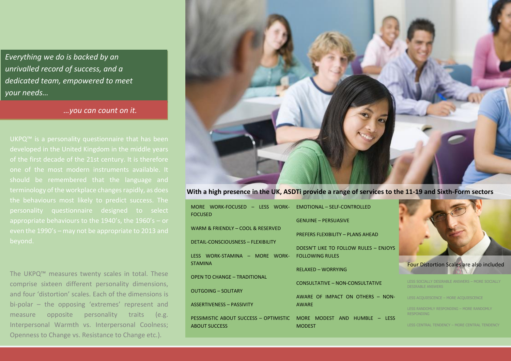*Everything we do is backed by an unrivalled record of success, and a dedicated team, empowered to meet your needs…*

*…you can count on it.*

UKPQ™ is a personality questionnaire that has been one of the most modern instruments available. It should be remembered that the language and appropriate behaviours to the 1940's, the 1960's – or beyond.

The UKPQ™ measures twenty scales in total. These comprise sixteen different personality dimensions, and four 'distortion' scales. Each of the dimensions is bi-polar – the opposing 'extremes' represent and measure opposite personality traits (e.g. Interpersonal Warmth vs. Interpersonal Coolness; Openness to Change vs. Resistance to Change etc.).



**With a high presence in the UK, ASDTi provide a range of services to the 11-19 and Sixth-Form sectors**

| MORE WORK-FOCUSED - LESS WORK-<br><b>FOCUSED</b> | EMOTIONAL - SELF-CONTROLLED           |                                                                             |
|--------------------------------------------------|---------------------------------------|-----------------------------------------------------------------------------|
|                                                  | <b>GENUINE – PERSUASIVE</b>           |                                                                             |
| WARM & FRIENDLY - COOL & RESERVED                | PREFERS FLEXIBILITY - PLANS AHEAD     |                                                                             |
| <b>DETAIL-CONSCIOUSNESS - FLEXIBILITY</b>        | DOESN'T LIKE TO FOLLOW RULES - ENJOYS |                                                                             |
| LESS WORK-STAMINA - MORE WORK-                   | <b>FOLLOWING RULES</b>                |                                                                             |
| <b>STAMINA</b>                                   | RELAXED - WORRYING                    | <b>Four Distortion Scales are also included</b>                             |
| <b>OPEN TO CHANGE - TRADITIONAL</b>              | CONSULTATIVE - NON-CONSULTATIVE       | LESS SOCIALLY DESIRABLE ANSWERS - MORE SOCIALLY<br><b>DESIRABLE ANSWERS</b> |
| <b>OUTGOING - SOLITARY</b>                       | AWARE OF IMPACT ON OTHERS - NON-      | LESS ACQUIESCENCE - MORE ACQUIESCENCE                                       |
| <b>ASSERTIVENESS - PASSIVITY</b>                 | <b>AWARE</b>                          | LESS RANDOMLY RESPONDING - MORE RANDOMLY                                    |
| PESSIMISTIC ABOUT SUCCESS - OPTIMISTIC           | MORE MODEST AND HUMBLE - LESS         | <b>RESPONDING</b>                                                           |
| <b>ABOUT SUCCESS</b>                             | <b>MODEST</b>                         | LESS CENTRAL TENDENCY - MORE CENTRAL TENDENCY                               |
|                                                  |                                       |                                                                             |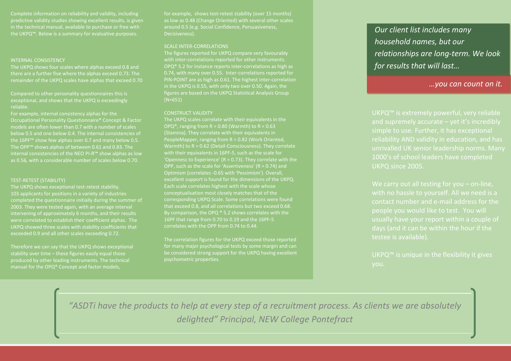Complete information on reliability and validity, including predictive validity studies showing excellent results, is given in the technical manual, available to purchase or free with the UKPQ™. Below is a summary for evaluative purposes.

### INTERNAL CONSISTENCY

The UKPQ shows four scales where alphas exceed 0.8 and there are a further five where the alphas exceed 0.73. The remainder of the UKPQ scales have alphas that exceed 0.70

Compared to other personality questionnaires this is exceptional, and shows that the UKPQ is exceedingly

For example, internal consistency alphas for the Occupational Personality Questionnaire® Concept & Factor models are often lower than 0.7 with a number of scales below 0.5 and one below 0.4. The internal consistencies of the 16PF™ show few alphas over 0.7 and many below 0.5. The OPP™ shows alphas of between 0.61 and 0.83. The internal consistencies of the NEO PI-R™ show alphas as low as 0.56, with a considerable number of scales below 0.70.

## TEST-RETEST (STABILITY)

The UKPQ shows exceptional test-retest stability. 103 applicants for positions in a variety of industries completed the questionnaire initially during the summer of 2003. They were tested again, with an average interval intervening of approximately 6 months, and their results were correlated to establish their coefficient alphas. The UKPQ showed three scales with stability coefficients that exceeded 0.9 and all other scales exceeding 0.72.

Therefore we can say that the UKPQ shows exceptional stability over time – these figures easily equal those produced by other leading instruments. The technical manual for the OPQ® Concept and factor models,

for example, shows test-retest stability (over 15 months) as low as 0.48 (Change Oriented) with several other scales around 0.5 (e.g. Social Confidence, Persuasiveness, Decisiveness).

# SCALE INTER-CORRELATIONS

The figures reported for UKPQ compare very favourably with inter-correlations reported for other instruments. OPQ® 5.2 for instance reports inter-correlations as high as 0.74, with many over 0.55. Inter-correlations reported for PIN-POINT are as high as 0.61. The highest inter-correlation in the UKPQ is 0.55, with only two over 0.50. Again, the figures are based on the UKPQ Statistical Analysis Group (N=651)

#### CONSTRUCT VALIDITY

The UKPQ scales correlate with their equivalents in the OPQ<sup>®</sup>, ranging from R = 0.80 (Warmth) to R =  $0.63$ (Stamina). They correlate with their equivalents in PeopleMapper, ranging from R = 0.82 (Work Oriented, Warmth) to R = 0.62 (Detail-Consciousness). They correlate with their equivalents in 16PF-5, such as the scale for 'Openness to Experience' ( $R = 0.73$ ). They correlate with the OPP, such as the scale for 'Assertiveness' ( $R = 0.74$ ) and excellent support is found for the dimensions of the UKPQ. Each scale correlates highest with the scale whose corresponding UKPQ Scale. Some correlations were found that exceed 0.8, and all correlations but two exceed 0.68. By comparison, the OPQ ® 5.2 shows correlates with the 16PF that range from 0.70 to 0.19 and the 16PF-5 correlates with the OPP from 0.74 to 0.44.

The correlation figures for the UKPQ exceed those reported for many major psychological tests by some margin and can be considered strong support for the UKPQ having excellent psychometric properties.

*Our client list includes many household names, but our relationships are long-term. We look for results that will last…*

# *…you can count on it.*

UKPQ™ is extremely powerful, very reliable simple to use. Further, it has exceptional reliability AND validity in education, and has 1000's of school leaders have completed UKPQ since 2005.

with no hassle to yourself. All we need is a contact number and e-mail address for the people you would like to test. You will usually have your report within a couple of days (and it can be within the hour if the testee is available).

minutes to complete. We compare your

reproduced potential strengths and potential strengths and potential strengths and potential strengths and pot

weaknesses, together with possible

*"ASDTi have the products to help at every step of a recruitment process. As clients we are absolutely delighted" Principal, NEW College Pontefract* testee to an appropriate norm group (we lents we are absolutely  $\|$  and  $\|$ sector, far surpassing those of almost any other questionnaire), and we will write a